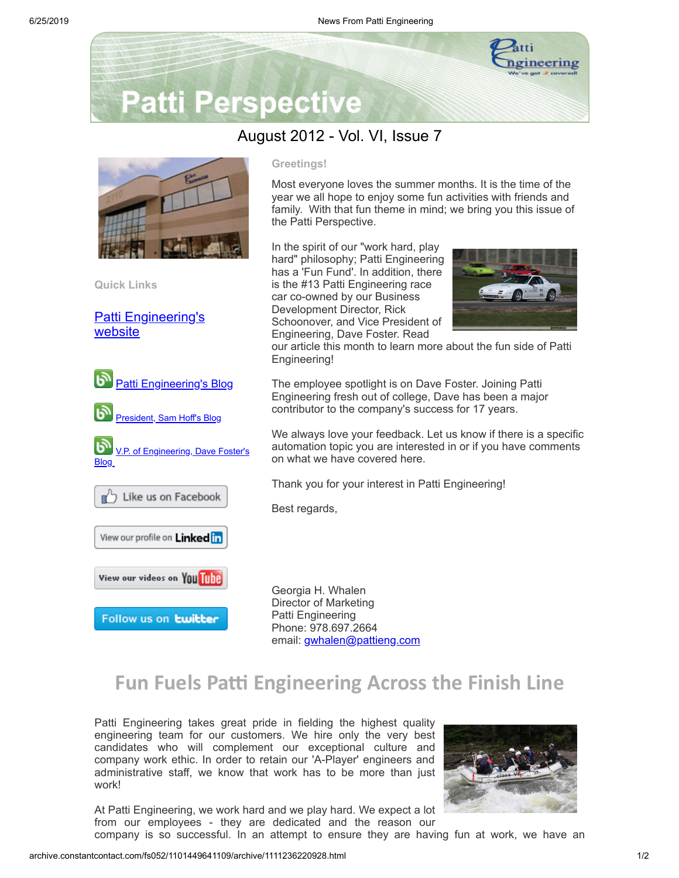

# **Patti Perspective**

### August 2012 - Vol. VI, Issue 7



**Quick Links**

[Patti Engineering's](http://www.pattieng.com/?utm_source=Update+-+Patti+Perspective+8_2012&utm_campaign=Patti+Perspective+8_12_update&utm_medium=archive) website



**Greetings!**

Most everyone loves the summer months. It is the time of the year we all hope to enjoy some fun activities with friends and family. With that fun theme in mind; we bring you this issue of the Patti Perspective.

In the spirit of our "work hard, play hard" philosophy; Patti Engineering has a 'Fun Fund'. In addition, there is the #13 Patti Engineering race car co-owned by our Business Development Director, Rick Schoonover, and Vice President of Engineering, Dave Foster. Read



our article this month to learn more about the fun side of Patti Engineering!

The employee spotlight is on Dave Foster. Joining Patti Engineering fresh out of college, Dave has been a major contributor to the company's success for 17 years.

We always love your feedback. Let us know if there is a specific automation topic you are interested in or if you have comments on what we have covered here.

Thank you for your interest in Patti Engineering!

Best regards,

Georgia H. Whalen Director of Marketing Patti Engineering Phone: 978.697.2664 email: [gwhalen@pattieng.com](mailto:gwhalen@pattieng.com)

## **Fun Fuels Pa Engineering Across the Finish Line**

Patti Engineering takes great pride in fielding the highest quality engineering team for our customers. We hire only the very best candidates who will complement our exceptional culture and company work ethic. In order to retain our 'A-Player' engineers and administrative staff, we know that work has to be more than just work!

At Patti Engineering, we work hard and we play hard. We expect a lot from our employees - they are dedicated and the reason our



company is so successful. In an attempt to ensure they are having fun at work, we have an